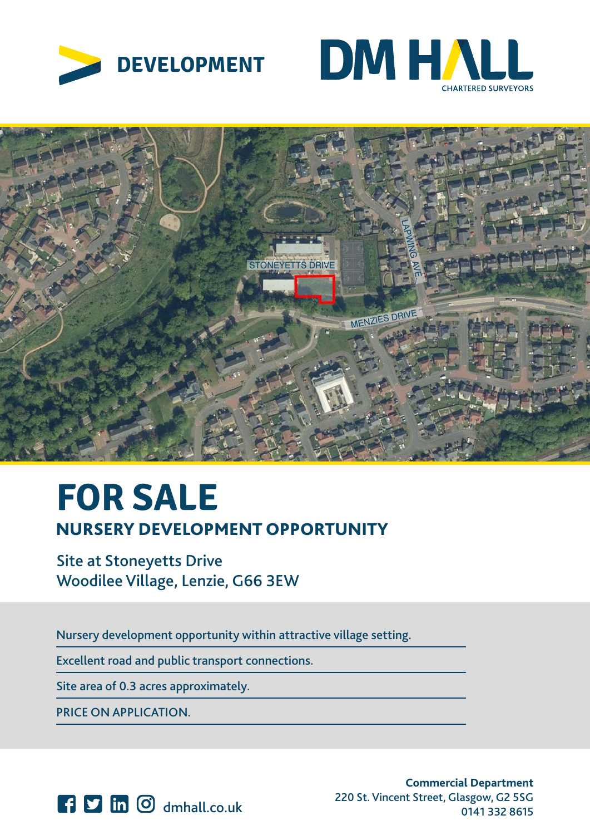





# Licence number 10002 Plotted Scale - 1:3500. Paper Size – A4 **FOR SALE** NURSERY DEVELOPMENT OPPORTUNITY

Site at Stoneyetts Drive Woodilee Village, Lenzie, G66 3EW

Nursery development opportunity within attractive village setting.

Excellent road and public transport connections.

Site area of 0.3 acres approximately.

PRICE ON APPLICATION.



**Commercial Department** 220 St. Vincent Street, Glasgow, G2 5SG dmhall.co.uk 0141 332 8615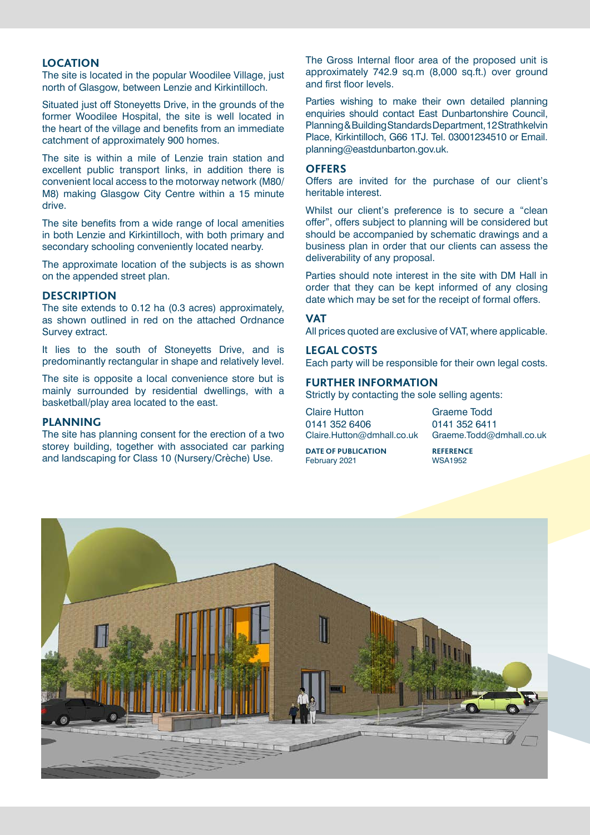## **LOCATION**

The site is located in the popular Woodilee Village, just north of Glasgow, between Lenzie and Kirkintilloch.

Situated just off Stoneyetts Drive, in the grounds of the former Woodilee Hospital, the site is well located in the heart of the village and benefits from an immediate catchment of approximately 900 homes.

The site is within a mile of Lenzie train station and excellent public transport links, in addition there is convenient local access to the motorway network (M80/ M8) making Glasgow City Centre within a 15 minute drive.

The site benefits from a wide range of local amenities in both Lenzie and Kirkintilloch, with both primary and secondary schooling conveniently located nearby.

The approximate location of the subjects is as shown on the appended street plan.

#### **DESCRIPTION**

The site extends to 0.12 ha (0.3 acres) approximately, as shown outlined in red on the attached Ordnance Survey extract.

It lies to the south of Stoneyetts Drive, and is predominantly rectangular in shape and relatively level.

The site is opposite a local convenience store but is mainly surrounded by residential dwellings, with a basketball/play area located to the east.

#### **PLANNING**

The site has planning consent for the erection of a two storey building, together with associated car parking and landscaping for Class 10 (Nursery/Crèche) Use.

The Gross Internal floor area of the proposed unit is approximately 742.9 sq.m (8,000 sq.ft.) over ground and first floor levels.

Parties wishing to make their own detailed planning enquiries should contact East Dunbartonshire Council, Planning & Building Standards Department, 12 Strathkelvin Place, Kirkintilloch, G66 1TJ. Tel. 03001234510 or Email. planning@eastdunbarton.gov.uk.

#### **OFFERS**

Offers are invited for the purchase of our client's heritable interest.

Whilst our client's preference is to secure a "clean offer", offers subject to planning will be considered but should be accompanied by schematic drawings and a business plan in order that our clients can assess the deliverability of any proposal.

Parties should note interest in the site with DM Hall in order that they can be kept informed of any closing date which may be set for the receipt of formal offers.

#### **VAT**

All prices quoted are exclusive of VAT, where applicable.

#### **LEGAL COSTS**

Each party will be responsible for their own legal costs.

### **FURTHER INFORMATION**

Strictly by contacting the sole selling agents:

| <b>Claire Hutton</b>       |
|----------------------------|
| 0141 352 6406              |
| Claire.Hutton@dmhall.co.uk |

Graeme Todd 0141 352 6411 Graeme.Todd@dmhall.co.uk

**DATE OF PUBLICATION**<br> **REFERENCE**<br> **REFERENCE**<br> **REFERENCE** February 2021